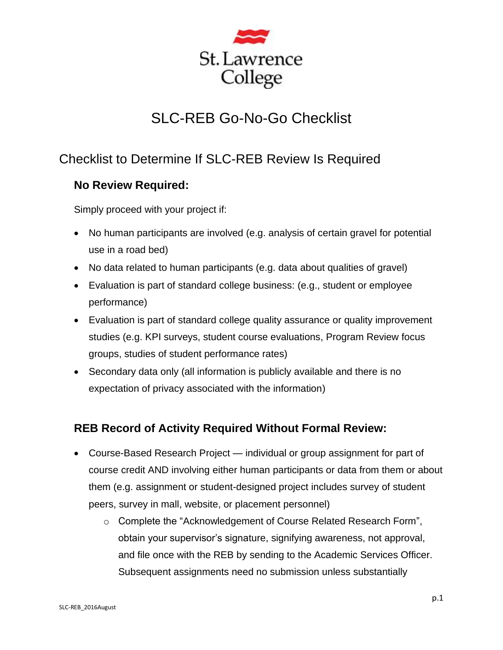

# SLC-REB Go-No-Go Checklist

## Checklist to Determine If SLC-REB Review Is Required

#### **No Review Required:**

Simply proceed with your project if:

- No human participants are involved (e.g. analysis of certain gravel for potential use in a road bed)
- No data related to human participants (e.g. data about qualities of gravel)
- Evaluation is part of standard college business: (e.g., student or employee performance)
- Evaluation is part of standard college quality assurance or quality improvement studies (e.g. KPI surveys, student course evaluations, Program Review focus groups, studies of student performance rates)
- Secondary data only (all information is publicly available and there is no expectation of privacy associated with the information)

#### **REB Record of Activity Required Without Formal Review:**

- Course-Based Research Project individual or group assignment for part of course credit AND involving either human participants or data from them or about them (e.g. assignment or student-designed project includes survey of student peers, survey in mall, website, or placement personnel)
	- $\circ$  Complete the "Acknowledgement of Course Related Research Form", obtain your supervisor's signature, signifying awareness, not approval, and file once with the REB by sending to the Academic Services Officer. Subsequent assignments need no submission unless substantially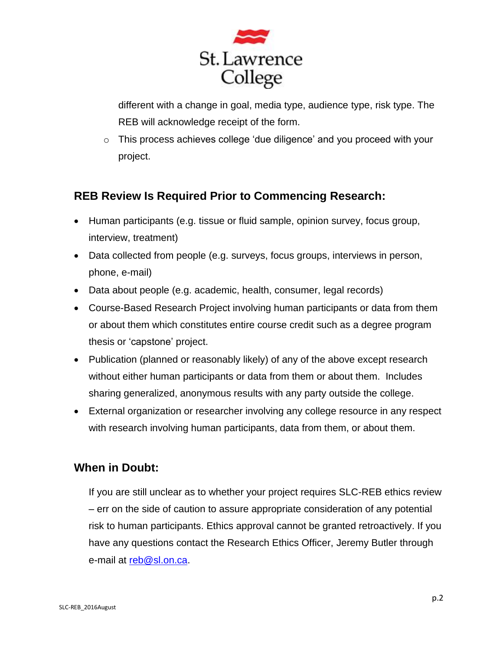

different with a change in goal, media type, audience type, risk type. The REB will acknowledge receipt of the form.

o This process achieves college 'due diligence' and you proceed with your project.

#### **REB Review Is Required Prior to Commencing Research:**

- Human participants (e.g. tissue or fluid sample, opinion survey, focus group, interview, treatment)
- Data collected from people (e.g. surveys, focus groups, interviews in person, phone, e-mail)
- Data about people (e.g. academic, health, consumer, legal records)
- Course-Based Research Project involving human participants or data from them or about them which constitutes entire course credit such as a degree program thesis or 'capstone' project.
- Publication (planned or reasonably likely) of any of the above except research without either human participants or data from them or about them. Includes sharing generalized, anonymous results with any party outside the college.
- External organization or researcher involving any college resource in any respect with research involving human participants, data from them, or about them.

#### **When in Doubt:**

If you are still unclear as to whether your project requires SLC-REB ethics review – err on the side of caution to assure appropriate consideration of any potential risk to human participants. Ethics approval cannot be granted retroactively. If you have any questions contact the Research Ethics Officer, Jeremy Butler through e-mail at [reb@sl.on.ca.](mailto:reb@sl.on.ca)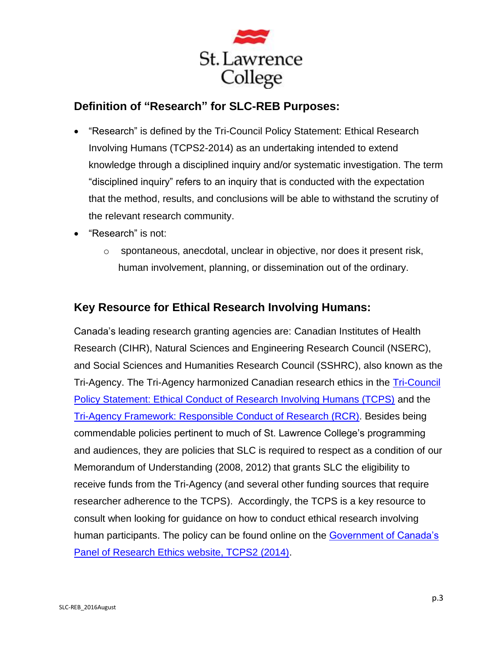

### **Definition of "Research" for SLC-REB Purposes:**

- "Research" is defined by the Tri-Council Policy Statement: Ethical Research Involving Humans (TCPS2-2014) as an undertaking intended to extend knowledge through a disciplined inquiry and/or systematic investigation. The term "disciplined inquiry" refers to an inquiry that is conducted with the expectation that the method, results, and conclusions will be able to withstand the scrutiny of the relevant research community.
- "Research" is not:
	- o spontaneous, anecdotal, unclear in objective, nor does it present risk, human involvement, planning, or dissemination out of the ordinary.

#### **Key Resource for Ethical Research Involving Humans:**

Canada's leading research granting agencies are: Canadian Institutes of Health Research (CIHR), Natural Sciences and Engineering Research Council (NSERC), and Social Sciences and Humanities Research Council (SSHRC), also known as the Tri-Agency. The Tri-Agency harmonized Canadian research ethics in the [Tri-Council](http://www.pre.ethics.gc.ca/eng/policy-politique/initiatives/tcps2-eptc2/Default/)  [Policy Statement: Ethical Conduct of Research Involving Humans \(TCPS\)](http://www.pre.ethics.gc.ca/eng/policy-politique/initiatives/tcps2-eptc2/Default/) and the [Tri-Agency Framework: Responsible Conduct of Research \(RCR\).](http://www.rcr.ethics.gc.ca/eng/policy-politique/framework-cadre/) Besides being commendable policies pertinent to much of St. Lawrence College's programming and audiences, they are policies that SLC is required to respect as a condition of our Memorandum of Understanding (2008, 2012) that grants SLC the eligibility to receive funds from the Tri-Agency (and several other funding sources that require researcher adherence to the TCPS). Accordingly, the TCPS is a key resource to consult when looking for guidance on how to conduct ethical research involving human participants. The policy can be found online on the Government of Canada's [Panel of Research Ethics website, TCPS2 \(2014\).](http://www.pre.ethics.gc.ca/eng/policy-politique/initiatives/tcps2-eptc2/Default/)